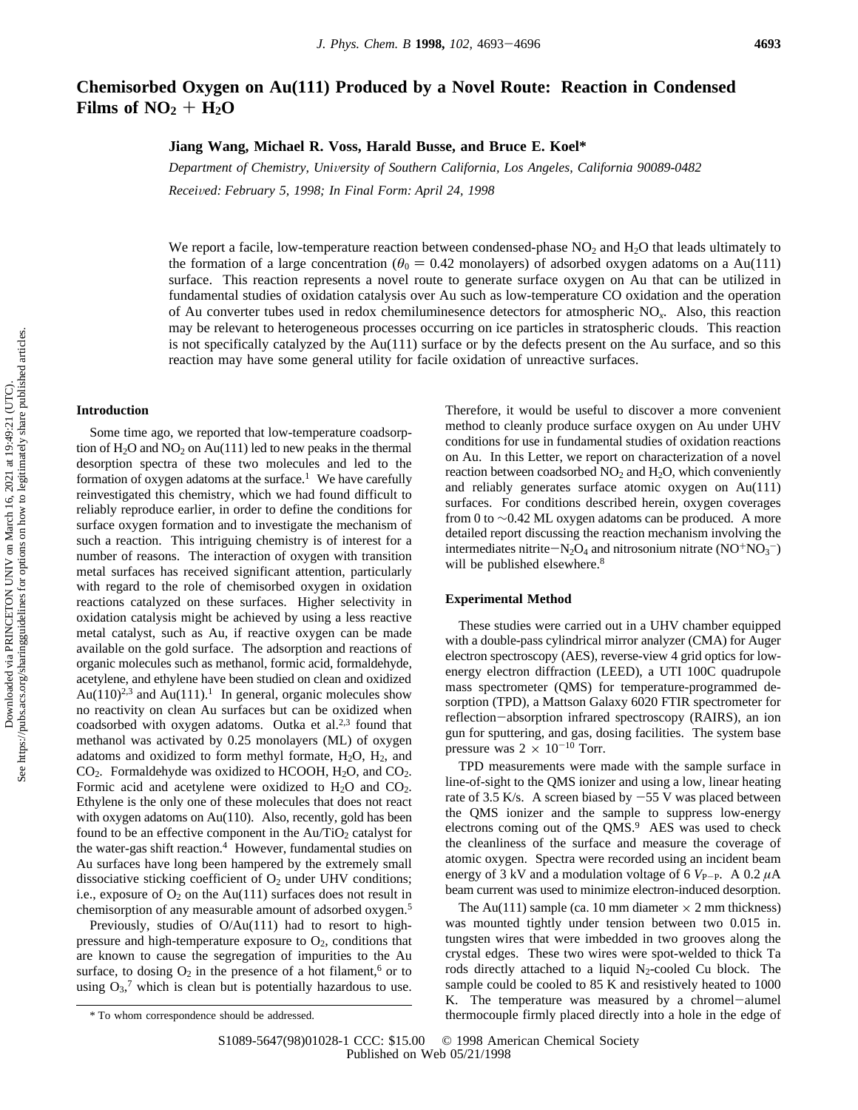# **Chemisorbed Oxygen on Au(111) Produced by a Novel Route: Reaction in Condensed** Films of  $NO<sub>2</sub> + H<sub>2</sub>O$

# **Jiang Wang, Michael R. Voss, Harald Busse, and Bruce E. Koel\***

*Department of Chemistry, Uni*V*ersity of Southern California, Los Angeles, California 90089-0482 Recei*V*ed: February 5, 1998; In Final Form: April 24, 1998*

We report a facile, low-temperature reaction between condensed-phase  $NO<sub>2</sub>$  and  $H<sub>2</sub>O$  that leads ultimately to the formation of a large concentration ( $\theta_0 = 0.42$  monolayers) of adsorbed oxygen adatoms on a Au(111) surface. This reaction represents a novel route to generate surface oxygen on Au that can be utilized in fundamental studies of oxidation catalysis over Au such as low-temperature CO oxidation and the operation of Au converter tubes used in redox chemiluminesence detectors for atmospheric NO*x*. Also, this reaction may be relevant to heterogeneous processes occurring on ice particles in stratospheric clouds. This reaction is not specifically catalyzed by the Au(111) surface or by the defects present on the Au surface, and so this reaction may have some general utility for facile oxidation of unreactive surfaces.

### **Introduction**

Some time ago, we reported that low-temperature coadsorption of  $H_2O$  and  $NO_2$  on Au(111) led to new peaks in the thermal desorption spectra of these two molecules and led to the formation of oxygen adatoms at the surface.<sup>1</sup> We have carefully reinvestigated this chemistry, which we had found difficult to reliably reproduce earlier, in order to define the conditions for surface oxygen formation and to investigate the mechanism of such a reaction. This intriguing chemistry is of interest for a number of reasons. The interaction of oxygen with transition metal surfaces has received significant attention, particularly with regard to the role of chemisorbed oxygen in oxidation reactions catalyzed on these surfaces. Higher selectivity in oxidation catalysis might be achieved by using a less reactive metal catalyst, such as Au, if reactive oxygen can be made available on the gold surface. The adsorption and reactions of organic molecules such as methanol, formic acid, formaldehyde, acetylene, and ethylene have been studied on clean and oxidized Au(110)<sup>2,3</sup> and Au(111).<sup>1</sup> In general, organic molecules show no reactivity on clean Au surfaces but can be oxidized when coadsorbed with oxygen adatoms. Outka et al.<sup>2,3</sup> found that methanol was activated by 0.25 monolayers (ML) of oxygen adatoms and oxidized to form methyl formate,  $H_2O$ ,  $H_2$ , and  $CO<sub>2</sub>$ . Formaldehyde was oxidized to HCOOH, H<sub>2</sub>O, and CO<sub>2</sub>. Formic acid and acetylene were oxidized to  $H_2O$  and  $CO_2$ . Ethylene is the only one of these molecules that does not react with oxygen adatoms on Au(110). Also, recently, gold has been found to be an effective component in the  $Au/TiO<sub>2</sub>$  catalyst for the water-gas shift reaction.<sup>4</sup> However, fundamental studies on Au surfaces have long been hampered by the extremely small dissociative sticking coefficient of  $O<sub>2</sub>$  under UHV conditions; i.e., exposure of  $O_2$  on the Au(111) surfaces does not result in chemisorption of any measurable amount of adsorbed oxygen.5

Previously, studies of O/Au(111) had to resort to highpressure and high-temperature exposure to  $O<sub>2</sub>$ , conditions that are known to cause the segregation of impurities to the Au surface, to dosing  $O_2$  in the presence of a hot filament,<sup>6</sup> or to using  $O_3$ ,<sup>7</sup> which is clean but is potentially hazardous to use. Therefore, it would be useful to discover a more convenient method to cleanly produce surface oxygen on Au under UHV conditions for use in fundamental studies of oxidation reactions on Au. In this Letter, we report on characterization of a novel reaction between coadsorbed  $NO<sub>2</sub>$  and  $H<sub>2</sub>O$ , which conveniently and reliably generates surface atomic oxygen on Au(111) surfaces. For conditions described herein, oxygen coverages from 0 to ∼0.42 ML oxygen adatoms can be produced. A more detailed report discussing the reaction mechanism involving the intermediates nitrite $-N_2O_4$  and nitrosonium nitrate (NO<sup>+</sup>NO<sub>3</sub><sup>-</sup>)<br>will be published elsewhere <sup>8</sup> will be published elsewhere.<sup>8</sup>

# **Experimental Method**

These studies were carried out in a UHV chamber equipped with a double-pass cylindrical mirror analyzer (CMA) for Auger electron spectroscopy (AES), reverse-view 4 grid optics for lowenergy electron diffraction (LEED), a UTI 100C quadrupole mass spectrometer (QMS) for temperature-programmed desorption (TPD), a Mattson Galaxy 6020 FTIR spectrometer for reflection-absorption infrared spectroscopy (RAIRS), an ion gun for sputtering, and gas, dosing facilities. The system base pressure was  $2 \times 10^{-10}$  Torr.

TPD measurements were made with the sample surface in line-of-sight to the QMS ionizer and using a low, linear heating rate of 3.5 K/s. A screen biased by  $-55$  V was placed between the QMS ionizer and the sample to suppress low-energy electrons coming out of the QMS.<sup>9</sup> AES was used to check the cleanliness of the surface and measure the coverage of atomic oxygen. Spectra were recorded using an incident beam energy of 3 kV and a modulation voltage of 6  $V_{\text{P-P}}$ . A 0.2  $\mu$ A beam current was used to minimize electron-induced desorption.

The Au(111) sample (ca. 10 mm diameter  $\times$  2 mm thickness) was mounted tightly under tension between two 0.015 in. tungsten wires that were imbedded in two grooves along the crystal edges. These two wires were spot-welded to thick Ta rods directly attached to a liquid  $N_2$ -cooled Cu block. The sample could be cooled to 85 K and resistively heated to 1000 K. The temperature was measured by a chromel-alumel \* To whom correspondence should be addressed. thermocouple firmly placed directly into a hole in the edge of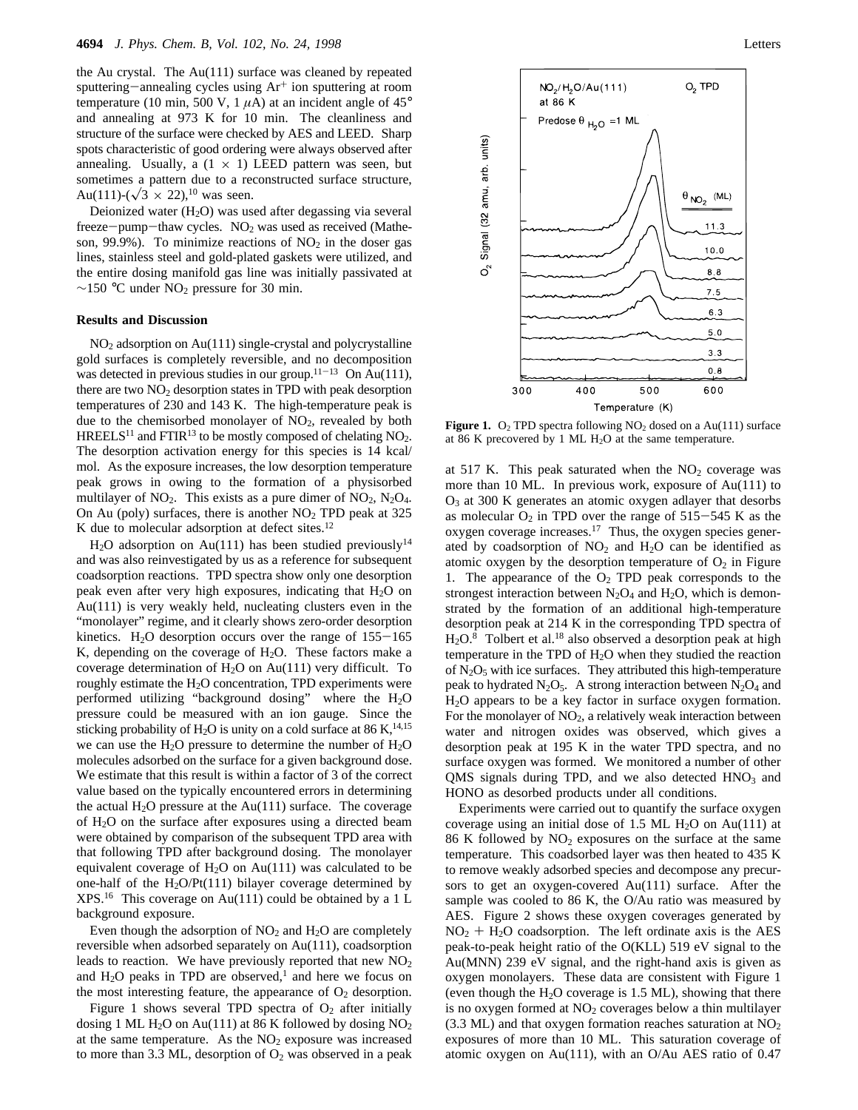the Au crystal. The Au(111) surface was cleaned by repeated sputtering-annealing cycles using Ar<sup>+</sup> ion sputtering at room temperature (10 min, 500 V, 1  $\mu$ A) at an incident angle of 45<sup>°</sup> and annealing at 973 K for 10 min. The cleanliness and structure of the surface were checked by AES and LEED. Sharp spots characteristic of good ordering were always observed after annealing. Usually, a  $(1 \times 1)$  LEED pattern was seen, but sometimes a pattern due to a reconstructed surface structure, Au(111)-( $\sqrt{3} \times 22$ ),<sup>10</sup> was seen.

Deionized water  $(H<sub>2</sub>O)$  was used after degassing via several  $freeze-pump-thaw cycles. NO<sub>2</sub> was used as received (Mathe$ son, 99.9%). To minimize reactions of  $NO<sub>2</sub>$  in the doser gas lines, stainless steel and gold-plated gaskets were utilized, and the entire dosing manifold gas line was initially passivated at  $\sim$ 150 °C under NO<sub>2</sub> pressure for 30 min.

## **Results and Discussion**

 $NO<sub>2</sub>$  adsorption on Au(111) single-crystal and polycrystalline gold surfaces is completely reversible, and no decomposition was detected in previous studies in our group.<sup>11-13</sup> On Au(111), there are two  $NO<sub>2</sub>$  desorption states in TPD with peak desorption temperatures of 230 and 143 K. The high-temperature peak is due to the chemisorbed monolayer of  $NO<sub>2</sub>$ , revealed by both HREELS<sup>11</sup> and FTIR<sup>13</sup> to be mostly composed of chelating  $NO<sub>2</sub>$ . The desorption activation energy for this species is 14 kcal/ mol. As the exposure increases, the low desorption temperature peak grows in owing to the formation of a physisorbed multilayer of  $NO<sub>2</sub>$ . This exists as a pure dimer of  $NO<sub>2</sub>$ ,  $N<sub>2</sub>O<sub>4</sub>$ . On Au (poly) surfaces, there is another  $NO<sub>2</sub>$  TPD peak at 325 K due to molecular adsorption at defect sites.<sup>12</sup>

 $H<sub>2</sub>O$  adsorption on Au(111) has been studied previously<sup>14</sup> and was also reinvestigated by us as a reference for subsequent coadsorption reactions. TPD spectra show only one desorption peak even after very high exposures, indicating that  $H_2O$  on Au(111) is very weakly held, nucleating clusters even in the "monolayer" regime, and it clearly shows zero-order desorption kinetics.  $H_2O$  desorption occurs over the range of  $155-165$ K, depending on the coverage of  $H_2O$ . These factors make a coverage determination of  $H_2O$  on Au(111) very difficult. To roughly estimate the H<sub>2</sub>O concentration, TPD experiments were performed utilizing "background dosing" where the  $H_2O$ pressure could be measured with an ion gauge. Since the sticking probability of H<sub>2</sub>O is unity on a cold surface at 86 K,<sup>14,15</sup> we can use the  $H_2O$  pressure to determine the number of  $H_2O$ molecules adsorbed on the surface for a given background dose. We estimate that this result is within a factor of 3 of the correct value based on the typically encountered errors in determining the actual  $H_2O$  pressure at the Au(111) surface. The coverage of  $H_2O$  on the surface after exposures using a directed beam were obtained by comparison of the subsequent TPD area with that following TPD after background dosing. The monolayer equivalent coverage of  $H_2O$  on Au(111) was calculated to be one-half of the  $H<sub>2</sub>O/Pt(111)$  bilayer coverage determined by  $XPS<sup>16</sup>$  This coverage on Au(111) could be obtained by a 1 L background exposure.

Even though the adsorption of  $NO<sub>2</sub>$  and  $H<sub>2</sub>O$  are completely reversible when adsorbed separately on Au(111), coadsorption leads to reaction. We have previously reported that new  $NO<sub>2</sub>$ and  $H_2O$  peaks in TPD are observed,<sup>1</sup> and here we focus on the most interesting feature, the appearance of  $O<sub>2</sub>$  desorption.

Figure 1 shows several TPD spectra of  $O<sub>2</sub>$  after initially dosing 1 ML  $H_2O$  on Au(111) at 86 K followed by dosing  $NO<sub>2</sub>$ at the same temperature. As the  $NO<sub>2</sub>$  exposure was increased to more than 3.3 ML, desorption of  $O_2$  was observed in a peak



**Figure 1.**  $O_2$  TPD spectra following NO<sub>2</sub> dosed on a Au(111) surface at 86 K precovered by 1 ML H<sub>2</sub>O at the same temperature.

at 517 K. This peak saturated when the  $NO<sub>2</sub>$  coverage was more than 10 ML. In previous work, exposure of Au(111) to O3 at 300 K generates an atomic oxygen adlayer that desorbs as molecular  $O_2$  in TPD over the range of 515-545 K as the oxygen coverage increases.17 Thus, the oxygen species generated by coadsorption of  $NO<sub>2</sub>$  and  $H<sub>2</sub>O$  can be identified as atomic oxygen by the desorption temperature of  $O<sub>2</sub>$  in Figure 1. The appearance of the  $O<sub>2</sub>$  TPD peak corresponds to the strongest interaction between  $N_2O_4$  and  $H_2O$ , which is demonstrated by the formation of an additional high-temperature desorption peak at 214 K in the corresponding TPD spectra of  $H<sub>2</sub>O<sup>8</sup>$  Tolbert et al.<sup>18</sup> also observed a desorption peak at high temperature in the TPD of  $H<sub>2</sub>O$  when they studied the reaction of  $N_2O_5$  with ice surfaces. They attributed this high-temperature peak to hydrated  $N_2O_5$ . A strong interaction between  $N_2O_4$  and H2O appears to be a key factor in surface oxygen formation. For the monolayer of  $NO<sub>2</sub>$ , a relatively weak interaction between water and nitrogen oxides was observed, which gives a desorption peak at 195 K in the water TPD spectra, and no surface oxygen was formed. We monitored a number of other QMS signals during TPD, and we also detected HNO<sub>3</sub> and HONO as desorbed products under all conditions.

Experiments were carried out to quantify the surface oxygen coverage using an initial dose of 1.5 ML  $H<sub>2</sub>O$  on Au(111) at 86 K followed by  $NO<sub>2</sub>$  exposures on the surface at the same temperature. This coadsorbed layer was then heated to 435 K to remove weakly adsorbed species and decompose any precursors to get an oxygen-covered Au(111) surface. After the sample was cooled to 86 K, the O/Au ratio was measured by AES. Figure 2 shows these oxygen coverages generated by  $NO<sub>2</sub> + H<sub>2</sub>O$  coadsorption. The left ordinate axis is the AES peak-to-peak height ratio of the O(KLL) 519 eV signal to the Au(MNN) 239 eV signal, and the right-hand axis is given as oxygen monolayers. These data are consistent with Figure 1 (even though the  $H_2O$  coverage is 1.5 ML), showing that there is no oxygen formed at  $NO<sub>2</sub>$  coverages below a thin multilayer  $(3.3 \text{ ML})$  and that oxygen formation reaches saturation at  $NO<sub>2</sub>$ exposures of more than 10 ML. This saturation coverage of atomic oxygen on Au(111), with an O/Au AES ratio of 0.47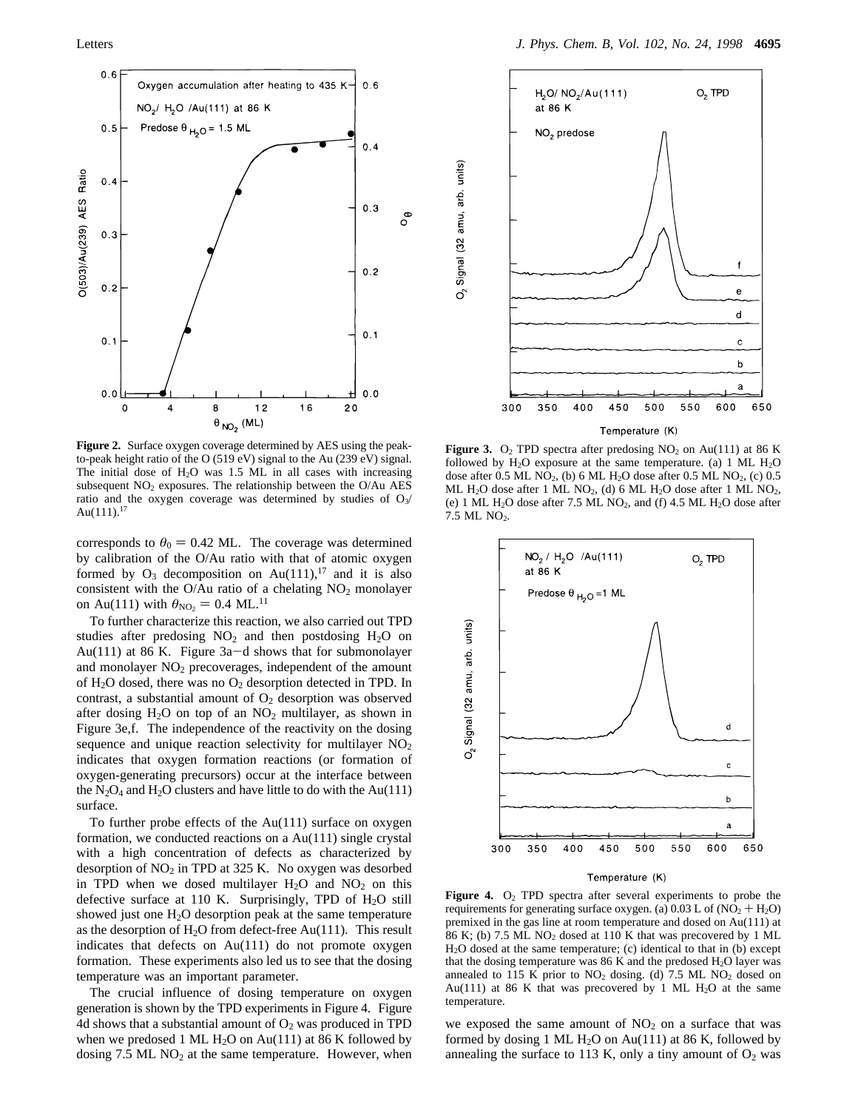

**Figure 2.** Surface oxygen coverage determined by AES using the peakto-peak height ratio of the O (519 eV) signal to the Au (239 eV) signal. The initial dose of  $H<sub>2</sub>O$  was 1.5 ML in all cases with increasing subsequent  $NO<sub>2</sub>$  exposures. The relationship between the O/Au AES ratio and the oxygen coverage was determined by studies of  $O_3/$ Au $(111).^{17}$ 

corresponds to  $\theta_0 = 0.42$  ML. The coverage was determined by calibration of the O/Au ratio with that of atomic oxygen formed by  $O_3$  decomposition on Au(111),<sup>17</sup> and it is also consistent with the O/Au ratio of a chelating  $NO<sub>2</sub>$  monolayer on Au(111) with  $\theta_{NQ_2} = 0.4$  ML.<sup>11</sup>

To further characterize this reaction, we also carried out TPD studies after predosing  $NO<sub>2</sub>$  and then postdosing  $H<sub>2</sub>O$  on Au(111) at 86 K. Figure 3a-d shows that for submonolayer and monolayer  $NO<sub>2</sub>$  precoverages, independent of the amount of  $H_2O$  dosed, there was no  $O_2$  desorption detected in TPD. In contrast, a substantial amount of  $O<sub>2</sub>$  desorption was observed after dosing  $H_2O$  on top of an  $NO_2$  multilayer, as shown in Figure 3e,f. The independence of the reactivity on the dosing sequence and unique reaction selectivity for multilayer  $NO<sub>2</sub>$ indicates that oxygen formation reactions (or formation of oxygen-generating precursors) occur at the interface between the  $N_2O_4$  and  $H_2O$  clusters and have little to do with the Au(111) surface.

To further probe effects of the Au(111) surface on oxygen formation, we conducted reactions on a Au(111) single crystal with a high concentration of defects as characterized by desorption of  $NO<sub>2</sub>$  in TPD at 325 K. No oxygen was desorbed in TPD when we dosed multilayer  $H_2O$  and  $NO_2$  on this defective surface at 110 K. Surprisingly, TPD of  $H_2O$  still showed just one H<sub>2</sub>O desorption peak at the same temperature as the desorption of  $H_2O$  from defect-free Au(111). This result indicates that defects on Au(111) do not promote oxygen formation. These experiments also led us to see that the dosing temperature was an important parameter.

The crucial influence of dosing temperature on oxygen generation is shown by the TPD experiments in Figure 4. Figure 4d shows that a substantial amount of  $O<sub>2</sub>$  was produced in TPD when we predosed 1 ML  $H_2O$  on Au(111) at 86 K followed by dosing  $7.5$  ML NO<sub>2</sub> at the same temperature. However, when



Signal (32 amu, arb. units)

δ

**Figure 3.** O<sub>2</sub> TPD spectra after predosing  $NO_2$  on Au(111) at 86 K followed by  $H_2O$  exposure at the same temperature. (a) 1 ML  $H_2O$ dose after  $0.5$  ML NO<sub>2</sub>, (b) 6 ML H<sub>2</sub>O dose after  $0.5$  ML NO<sub>2</sub>, (c)  $0.5$ ML H<sub>2</sub>O dose after 1 ML NO<sub>2</sub>, (d) 6 ML H<sub>2</sub>O dose after 1 ML NO<sub>2</sub>, (e) 1 ML  $H_2O$  dose after 7.5 ML NO<sub>2</sub>, and (f) 4.5 ML  $H_2O$  dose after 7.5 ML NO<sub>2</sub>.



#### Temperature (K)

Figure 4. O<sub>2</sub> TPD spectra after several experiments to probe the requirements for generating surface oxygen. (a)  $0.03$  L of (NO<sub>2</sub> + H<sub>2</sub>O) premixed in the gas line at room temperature and dosed on Au(111) at 86 K; (b)  $7.5$  ML NO<sub>2</sub> dosed at 110 K that was precovered by 1 ML H2O dosed at the same temperature; (c) identical to that in (b) except that the dosing temperature was  $86$  K and the predosed  $H<sub>2</sub>O$  layer was annealed to 115 K prior to  $NO<sub>2</sub>$  dosing. (d) 7.5 ML  $NO<sub>2</sub>$  dosed on Au(111) at 86 K that was precovered by 1 ML  $H_2O$  at the same temperature.

we exposed the same amount of  $NO<sub>2</sub>$  on a surface that was formed by dosing 1 ML  $H_2O$  on Au(111) at 86 K, followed by annealing the surface to 113 K, only a tiny amount of  $O_2$  was